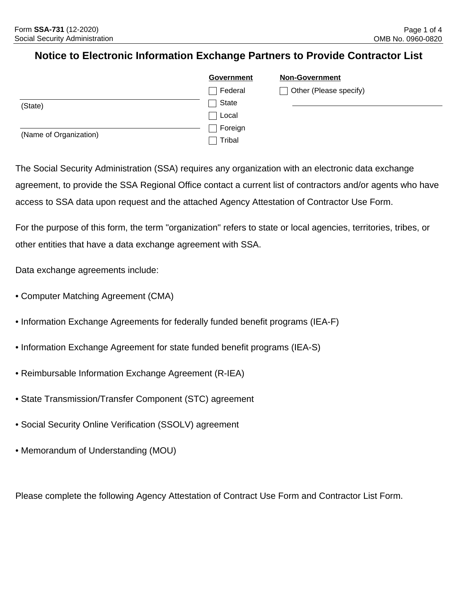## **Notice to Electronic Information Exchange Partners to Provide Contractor List**

|                        | Government | <b>Non-Government</b>  |
|------------------------|------------|------------------------|
|                        | Federal    | Other (Please specify) |
| (State)                | State      |                        |
|                        | Local      |                        |
| (Name of Organization) | Foreign    |                        |
|                        | Tribal     |                        |

The Social Security Administration (SSA) requires any organization with an electronic data exchange agreement, to provide the SSA Regional Office contact a current list of contractors and/or agents who have access to SSA data upon request and the attached Agency Attestation of Contractor Use Form.

For the purpose of this form, the term "organization" refers to state or local agencies, territories, tribes, or other entities that have a data exchange agreement with SSA.

Data exchange agreements include:

- Computer Matching Agreement (CMA)
- Information Exchange Agreements for federally funded benefit programs (IEA-F)
- Information Exchange Agreement for state funded benefit programs (IEA-S)
- Reimbursable Information Exchange Agreement (R-IEA)
- State Transmission/Transfer Component (STC) agreement
- Social Security Online Verification (SSOLV) agreement
- Memorandum of Understanding (MOU)

Please complete the following Agency Attestation of Contract Use Form and Contractor List Form.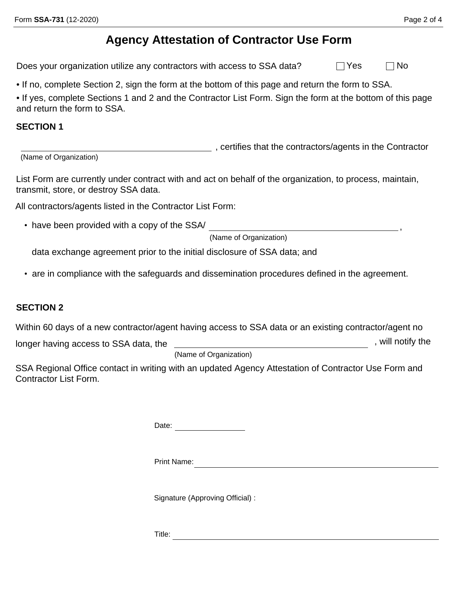Does your organization utilize any contractors with access to SSA data?  $\Box$  Yes  $\Box$  No

• If no, complete Section 2, sign the form at the bottom of this page and return the form to SSA.

• If yes, complete Sections 1 and 2 and the Contractor List Form. Sign the form at the bottom of this page and return the form to SSA.

#### **SECTION 1**

(Name of Organization)

List Form are currently under contract with and act on behalf of the organization, to process, maintain, transmit, store, or destroy SSA data.

All contractors/agents listed in the Contractor List Form:

• have been provided with a copy of the SSA/

(Name of Organization)

, certifies that the contractors/agents in the Contractor

data exchange agreement prior to the initial disclosure of SSA data; and

• are in compliance with the safeguards and dissemination procedures defined in the agreement.

### **SECTION 2**

Within 60 days of a new contractor/agent having access to SSA data or an existing contractor/agent no

longer having access to SSA data, the

(Name of Organization)

SSA Regional Office contact in writing with an updated Agency Attestation of Contractor Use Form and Contractor List Form.

Date: <u>\_\_\_\_\_\_\_\_\_\_\_\_\_\_\_\_\_\_\_\_\_\_\_</u>

Print Name:

Signature (Approving Official) :

Title:

,

**1201**, will notify the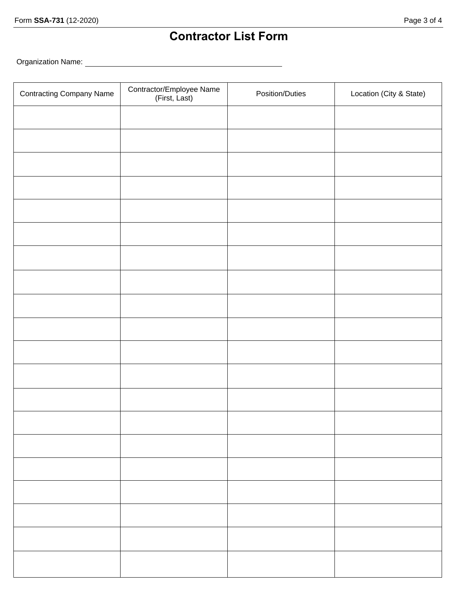# **Contractor List Form**

Organization Name:

| <b>Contracting Company Name</b> | Contractor/Employee Name<br>(First, Last) | Position/Duties | Location (City & State) |
|---------------------------------|-------------------------------------------|-----------------|-------------------------|
|                                 |                                           |                 |                         |
|                                 |                                           |                 |                         |
|                                 |                                           |                 |                         |
|                                 |                                           |                 |                         |
|                                 |                                           |                 |                         |
|                                 |                                           |                 |                         |
|                                 |                                           |                 |                         |
|                                 |                                           |                 |                         |
|                                 |                                           |                 |                         |
|                                 |                                           |                 |                         |
|                                 |                                           |                 |                         |
|                                 |                                           |                 |                         |
|                                 |                                           |                 |                         |
|                                 |                                           |                 |                         |
|                                 |                                           |                 |                         |
|                                 |                                           |                 |                         |
|                                 |                                           |                 |                         |
|                                 |                                           |                 |                         |
|                                 |                                           |                 |                         |
|                                 |                                           |                 |                         |